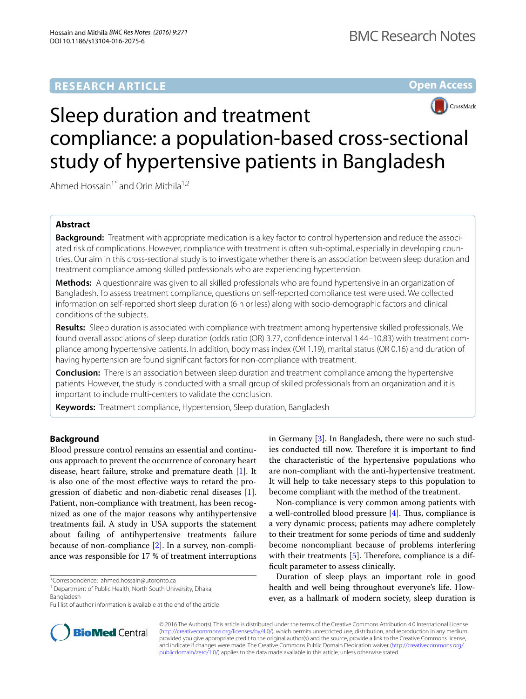# **RESEARCH ARTICLE**





# Sleep duration and treatment compliance: a population-based cross-sectional study of hypertensive patients in Bangladesh

Ahmed Hossain<sup>1\*</sup> and Orin Mithila<sup>1,2</sup>

# **Abstract**

**Background:** Treatment with appropriate medication is a key factor to control hypertension and reduce the associated risk of complications. However, compliance with treatment is often sub-optimal, especially in developing countries. Our aim in this cross-sectional study is to investigate whether there is an association between sleep duration and treatment compliance among skilled professionals who are experiencing hypertension.

**Methods:** A questionnaire was given to all skilled professionals who are found hypertensive in an organization of Bangladesh. To assess treatment compliance, questions on self-reported compliance test were used. We collected information on self-reported short sleep duration (6 h or less) along with socio-demographic factors and clinical conditions of the subjects.

**Results:** Sleep duration is associated with compliance with treatment among hypertensive skilled professionals. We found overall associations of sleep duration (odds ratio (OR) 3.77, confidence interval 1.44–10.83) with treatment compliance among hypertensive patients. In addition, body mass index (OR 1.19), marital status (OR 0.16) and duration of having hypertension are found significant factors for non-compliance with treatment.

**Conclusion:** There is an association between sleep duration and treatment compliance among the hypertensive patients. However, the study is conducted with a small group of skilled professionals from an organization and it is important to include multi-centers to validate the conclusion.

**Keywords:** Treatment compliance, Hypertension, Sleep duration, Bangladesh

# **Background**

Blood pressure control remains an essential and continuous approach to prevent the occurrence of coronary heart disease, heart failure, stroke and premature death [[1](#page-4-0)]. It is also one of the most effective ways to retard the progression of diabetic and non-diabetic renal diseases [\[1](#page-4-0)]. Patient, non-compliance with treatment, has been recognized as one of the major reasons why antihypertensive treatments fail. A study in USA supports the statement about failing of antihypertensive treatments failure because of non-compliance [[2](#page-4-1)]. In a survey, non-compliance was responsible for 17 % of treatment interruptions

\*Correspondence: ahmed.hossain@utoronto.ca

in Germany [[3\]](#page-4-2). In Bangladesh, there were no such studies conducted till now. Therefore it is important to find the characteristic of the hypertensive populations who are non-compliant with the anti-hypertensive treatment. It will help to take necessary steps to this population to become compliant with the method of the treatment.

Non-compliance is very common among patients with a well-controlled blood pressure [[4\]](#page-4-3). Thus, compliance is a very dynamic process; patients may adhere completely to their treatment for some periods of time and suddenly become noncompliant because of problems interfering with their treatments [[5\]](#page-4-4). Therefore, compliance is a difficult parameter to assess clinically.

Duration of sleep plays an important role in good health and well being throughout everyone's life. However, as a hallmark of modern society, sleep duration is



© 2016 The Author(s). This article is distributed under the terms of the Creative Commons Attribution 4.0 International License [\(http://creativecommons.org/licenses/by/4.0/\)](http://creativecommons.org/licenses/by/4.0/), which permits unrestricted use, distribution, and reproduction in any medium, provided you give appropriate credit to the original author(s) and the source, provide a link to the Creative Commons license, and indicate if changes were made. The Creative Commons Public Domain Dedication waiver ([http://creativecommons.org/](http://creativecommons.org/publicdomain/zero/1.0/) [publicdomain/zero/1.0/](http://creativecommons.org/publicdomain/zero/1.0/)) applies to the data made available in this article, unless otherwise stated.

<sup>&</sup>lt;sup>1</sup> Department of Public Health, North South University, Dhaka,

Bangladesh

Full list of author information is available at the end of the article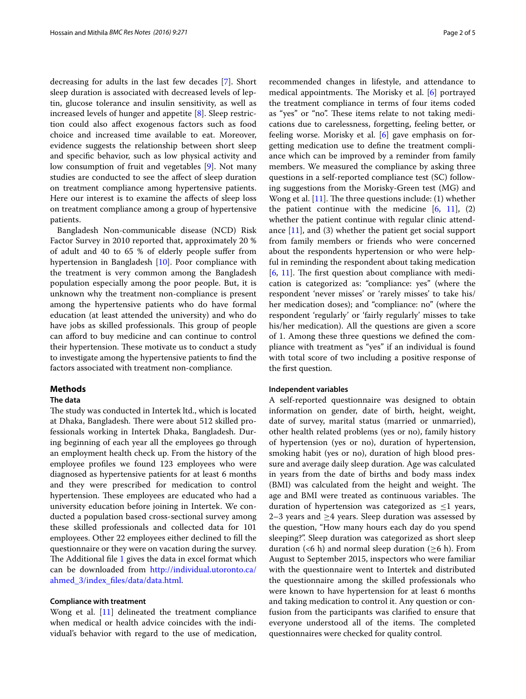decreasing for adults in the last few decades [[7\]](#page-4-5). Short sleep duration is associated with decreased levels of leptin, glucose tolerance and insulin sensitivity, as well as increased levels of hunger and appetite [\[8](#page-4-6)]. Sleep restriction could also affect exogenous factors such as food choice and increased time available to eat. Moreover, evidence suggests the relationship between short sleep and specific behavior, such as low physical activity and low consumption of fruit and vegetables [\[9](#page-4-7)]. Not many studies are conducted to see the affect of sleep duration on treatment compliance among hypertensive patients. Here our interest is to examine the affects of sleep loss on treatment compliance among a group of hypertensive patients.

Bangladesh Non-communicable disease (NCD) Risk Factor Survey in 2010 reported that, approximately 20 % of adult and 40 to 65 % of elderly people suffer from hypertension in Bangladesh [[10](#page-4-8)]. Poor compliance with the treatment is very common among the Bangladesh population especially among the poor people. But, it is unknown why the treatment non-compliance is present among the hypertensive patients who do have formal education (at least attended the university) and who do have jobs as skilled professionals. This group of people can afford to buy medicine and can continue to control their hypertension. These motivate us to conduct a study to investigate among the hypertensive patients to find the factors associated with treatment non-compliance.

# **Methods**

# **The data**

The study was conducted in Intertek ltd., which is located at Dhaka, Bangladesh. There were about 512 skilled professionals working in Intertek Dhaka, Bangladesh. During beginning of each year all the employees go through an employment health check up. From the history of the employee profiles we found 123 employees who were diagnosed as hypertensive patients for at least 6 months and they were prescribed for medication to control hypertension. These employees are educated who had a university education before joining in Intertek. We conducted a population based cross-sectional survey among these skilled professionals and collected data for 101 employees. Other 22 employees either declined to fill the questionnaire or they were on vacation during the survey. The Additional file [1](#page-4-9) gives the data in excel format which can be downloaded from [http://individual.utoronto.ca/](http://individual.utoronto.ca/ahmed_3/index_files/data/data.html) [ahmed\\_3/index\\_files/data/data.html](http://individual.utoronto.ca/ahmed_3/index_files/data/data.html).

# **Compliance with treatment**

Wong et al. [[11\]](#page-4-10) delineated the treatment compliance when medical or health advice coincides with the individual's behavior with regard to the use of medication, recommended changes in lifestyle, and attendance to medical appointments. The Morisky et al. [[6\]](#page-4-11) portrayed the treatment compliance in terms of four items coded as "yes" or "no". These items relate to not taking medications due to carelessness, forgetting, feeling better, or feeling worse. Morisky et al. [[6](#page-4-11)] gave emphasis on forgetting medication use to define the treatment compliance which can be improved by a reminder from family members. We measured the compliance by asking three questions in a self-reported compliance test (SC) following suggestions from the Morisky-Green test (MG) and Wong et al. [\[11](#page-4-10)]. The three questions include: (1) whether the patient continue with the medicine  $[6, 11]$  $[6, 11]$  $[6, 11]$ ,  $(2)$ whether the patient continue with regular clinic attendance [[11](#page-4-10)], and (3) whether the patient get social support from family members or friends who were concerned about the respondents hypertension or who were helpful in reminding the respondent about taking medication [[6,](#page-4-11) [11](#page-4-10)]. The first question about compliance with medication is categorized as: "compliance: yes" (where the respondent 'never misses' or 'rarely misses' to take his/ her medication doses); and "compliance: no" (where the respondent 'regularly' or 'fairly regularly' misses to take his/her medication). All the questions are given a score of 1. Among these three questions we defined the compliance with treatment as "yes" if an individual is found with total score of two including a positive response of the first question.

#### **Independent variables**

A self-reported questionnaire was designed to obtain information on gender, date of birth, height, weight, date of survey, marital status (married or unmarried), other health related problems (yes or no), family history of hypertension (yes or no), duration of hypertension, smoking habit (yes or no), duration of high blood pressure and average daily sleep duration. Age was calculated in years from the date of births and body mass index (BMI) was calculated from the height and weight. The age and BMI were treated as continuous variables. The duration of hypertension was categorized as  $\leq 1$  years, 2–3 years and  $\geq$ 4 years. Sleep duration was assessed by the question, "How many hours each day do you spend sleeping?". Sleep duration was categorized as short sleep duration (<6 h) and normal sleep duration ( $\geq$ 6 h). From August to September 2015, inspectors who were familiar with the questionnaire went to Intertek and distributed the questionnaire among the skilled professionals who were known to have hypertension for at least 6 months and taking medication to control it. Any question or confusion from the participants was clarified to ensure that everyone understood all of the items. The completed questionnaires were checked for quality control.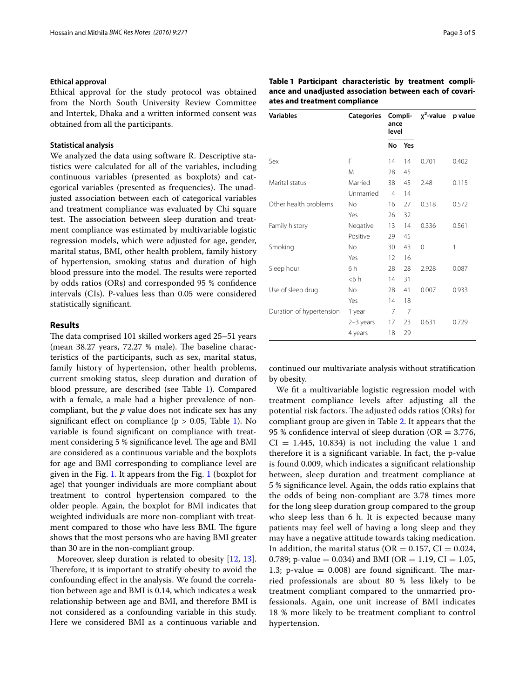#### **Ethical approval**

Ethical approval for the study protocol was obtained from the North South University Review Committee and Intertek, Dhaka and a written informed consent was obtained from all the participants.

# **Statistical analysis**

We analyzed the data using software R. Descriptive statistics were calculated for all of the variables, including continuous variables (presented as boxplots) and categorical variables (presented as frequencies). The unadjusted association between each of categorical variables and treatment compliance was evaluated by Chi square test. The association between sleep duration and treatment compliance was estimated by multivariable logistic regression models, which were adjusted for age, gender, marital status, BMI, other health problem, family history of hypertension, smoking status and duration of high blood pressure into the model. The results were reported by odds ratios (ORs) and corresponded 95 % confidence intervals (CIs). P-values less than 0.05 were considered statistically significant.

#### **Results**

The data comprised 101 skilled workers aged 25–51 years (mean 38.27 years, 72.27 % male). The baseline characteristics of the participants, such as sex, marital status, family history of hypertension, other health problems, current smoking status, sleep duration and duration of blood pressure, are described (see Table [1\)](#page-2-0). Compared with a female, a male had a higher prevalence of noncompliant, but the *p* value does not indicate sex has any significant effect on compliance ( $p > 0.05$ , Table [1\)](#page-2-0). No variable is found significant on compliance with treatment considering 5 % significance level. The age and BMI are considered as a continuous variable and the boxplots for age and BMI corresponding to compliance level are given in the Fig. [1](#page-3-0). It appears from the Fig. [1](#page-3-0) (boxplot for age) that younger individuals are more compliant about treatment to control hypertension compared to the older people. Again, the boxplot for BMI indicates that weighted individuals are more non-compliant with treatment compared to those who have less BMI. The figure shows that the most persons who are having BMI greater than 30 are in the non-compliant group.

Moreover, sleep duration is related to obesity [\[12,](#page-4-12) [13](#page-4-13)]. Therefore, it is important to stratify obesity to avoid the confounding effect in the analysis. We found the correlation between age and BMI is 0.14, which indicates a weak relationship between age and BMI, and therefore BMI is not considered as a confounding variable in this study. Here we considered BMI as a continuous variable and

<span id="page-2-0"></span>

| <b>Variables</b><br><b>Categories</b> |           | Compli-<br>ance<br>level |     | x <sup>2</sup> -value | p value |
|---------------------------------------|-----------|--------------------------|-----|-----------------------|---------|
|                                       |           | <b>No</b>                | Yes |                       |         |
| Sex                                   | F         | 14                       | 14  | 0.701                 | 0.402   |
|                                       | M         | 28                       | 45  |                       |         |
| Marital status                        | Married   | 38                       | 45  | 2.48                  | 0.115   |
|                                       | Unmarried | $\overline{4}$           | 14  |                       |         |
| Other health problems                 | No.       | 16                       | 27  | 0.318                 | 0.572   |
|                                       | Yes       | 26                       | 32  |                       |         |
| Family history                        | Negative  | 13                       | 14  | 0.336                 | 0.561   |
|                                       | Positive  | 29                       | 45  |                       |         |
| Smoking                               | No        | 30                       | 43  | $\Omega$              | 1       |
|                                       | Yes       | 12                       | 16  |                       |         |
| Sleep hour                            | 6 h       | 28                       | 28  | 2.928                 | 0.087   |
|                                       | < 6 h     | 14                       | 31  |                       |         |
| Use of sleep drug                     | <b>No</b> | 28                       | 41  | 0.007                 | 0.933   |
|                                       | Yes       | 14                       | 18  |                       |         |
| Duration of hypertension              | 1 year    | 7                        | 7   |                       |         |
|                                       | 2-3 years | 17                       | 23  | 0.631                 | 0.729   |
|                                       | 4 years   | 18                       | 29  |                       |         |

continued our multivariate analysis without stratification by obesity.

We fit a multivariable logistic regression model with treatment compliance levels after adjusting all the potential risk factors. The adjusted odds ratios (ORs) for compliant group are given in Table [2.](#page-3-1) It appears that the 95 % confidence interval of sleep duration ( $OR = 3.776$ ,  $CI = 1.445, 10.834$  is not including the value 1 and therefore it is a significant variable. In fact, the p-value is found 0.009, which indicates a significant relationship between, sleep duration and treatment compliance at 5 % significance level. Again, the odds ratio explains that the odds of being non-compliant are 3.78 times more for the long sleep duration group compared to the group who sleep less than 6 h. It is expected because many patients may feel well of having a long sleep and they may have a negative attitude towards taking medication. In addition, the marital status ( $OR = 0.157$ ,  $CI = 0.024$ , 0.789; p-value = 0.034) and BMI (OR = 1.19, CI = 1.05, 1.3; p-value  $= 0.008$ ) are found significant. The married professionals are about 80 % less likely to be treatment compliant compared to the unmarried professionals. Again, one unit increase of BMI indicates 18 % more likely to be treatment compliant to control hypertension.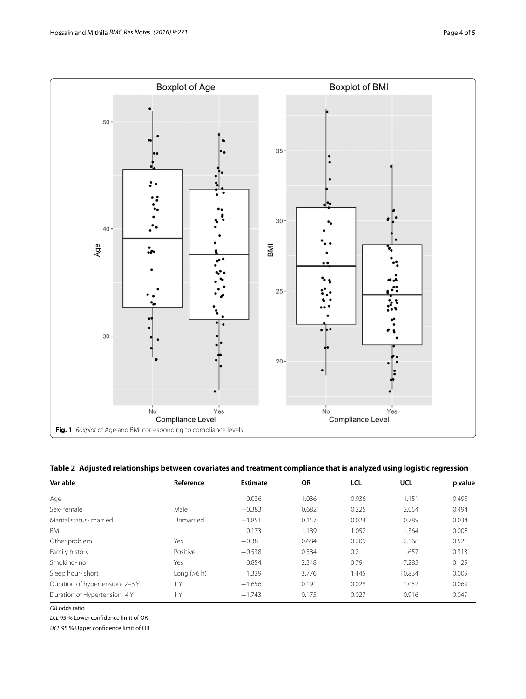

<span id="page-3-1"></span><span id="page-3-0"></span>

|  | Table 2 Adjusted relationships between covariates and treatment compliance that is analyzed using logistic regression |  |  |
|--|-----------------------------------------------------------------------------------------------------------------------|--|--|
|  |                                                                                                                       |  |  |

| Variable                      | Reference     | <b>Estimate</b> | <b>OR</b> | <b>LCL</b> | UCL    | p value |
|-------------------------------|---------------|-----------------|-----------|------------|--------|---------|
| Age                           |               | 0.036           | 1.036     | 0.936      | 1.151  | 0.495   |
| Sex-female                    | Male          | $-0.383$        | 0.682     | 0.225      | 2.054  | 0.494   |
| Marital status- married       | Unmarried     | $-1.851$        | 0.157     | 0.024      | 0.789  | 0.034   |
| BMI                           |               | 0.173           | 1.189     | 1.052      | 1.364  | 0.008   |
| Other problem                 | Yes           | $-0.38$         | 0.684     | 0.209      | 2.168  | 0.521   |
| Family history                | Positive      | $-0.538$        | 0.584     | 0.2        | 1.657  | 0.313   |
| Smoking-no                    | Yes           | 0.854           | 2.348     | 0.79       | 7.285  | 0.129   |
| Sleep hour-short              | Long $(>6 h)$ | 1.329           | 3.776     | 1.445      | 10.834 | 0.009   |
| Duration of hypertension-2-3Y | 1 Y           | $-1.656$        | 0.191     | 0.028      | 1.052  | 0.069   |
| Duration of Hypertension- 4Y  | 1 Y           | $-1.743$        | 0.175     | 0.027      | 0.916  | 0.049   |

*OR* odds ratio

*LCL* 95 % Lower confidence limit of OR

*UCL* 95 % Upper confidence limit of OR